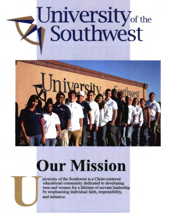# University<sub>of the</sub> **Southwest**



## **Our Mission**

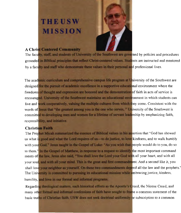### **THEUSW MlISSION**



#### **A Christ Centered Community**

The faculty, staff, and students of University of the Southwest are governed by policies and procedures grounded in Biblical principles that reflect Christ-centered values. Students are instructed and mentored by a faculty and staff who demonstrate these values in their personal and professional lives.

and comprehensive campus life program at University of the Southwest are of academic excellence in a supportive educational environment where the and expression are honored and the demonstration of faith in acts of service is University of the Southwest maintains an educational environment in which students can cooperatively, valuing the multiple cultures from which they come. Consistent with the greatest among you is the one who serves," University of the Southwest is men and women for a lifetime of servant leadership by emphasizing faith, responsibility, and initiative.

#### **Christian Faith**

Micah summarized the essence of Biblical values in his assertion that "God has showed and what the Lord requires of us—to do justice, to love kindness, and to walk humbly d." Jesus taught in the Gospel of Luke: "As you wish that people would do to you, do so the Gospel of Matthew, in response to a request to identify the most important command ments of the law, Jesus also said, "You shall love the Lord your God with all your heart, and with all of with all your mind. This is the great and first commandment. And a second like it, you eighbor as yourself. On these two commandments depend all the law and the prophets.' itted to pursuing its educational mission while embracing justice, kindess, humility, and love in our formal and informal programs.

matters, such historical efforts as the Apostle's Creed, the Nicene Creed, and informal confessions of faith have sought to frame a common statement of the faith. USW does not seek doctrinal uniformity or subscription to a common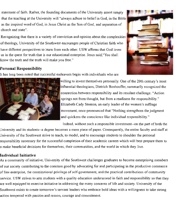statement of faith. Rather, the founding documents of the University assert simply that the teaching at the University will "always adhere to belief in God, in the Bible as the inspired word of God, in Jesus Christ as the Son of God, and separation of church and state".

Recognizing that there is a variety of conviction and opinion about the complexities of theology, University of the Southwest encourages people of Christian faith who have different perspectives to learn from each other. USW affirms that God loves us in the quest for truth that is our educational enterprise. Jesus said,"You shall know the truth and the truth will make you free."



#### **Personal Responsibility**

It has long been noted that successful endeavors begin with individuals who are



willing to invest themselves personally. One of the 20th century's most influential theologians, Dietrich Bonhoeffer, summarily recognized the connection between responsibility and its resulant challenge. "Action springs not from thought, but from a readiness for responsibility." Elizabeth Cady Stanton, an early leader of the women's suffrage movement, once pronounced that "Nothing strengthens the judgment and quickens the conscience like individual responsibility."

Indeed, without such a responsible investment—on the part of both the

University and its students~a degree becomes a mere piece of paper. Consequently, the entire faculty and staff at University of the Southwest strive to teach, to model, and to encourage students to shoulder the personal responsibility necessary for the successful completion of their academic careers which will best prepare them to o make beneficial decisions for themselves, their communities, and the world in which they live.

#### **Individual Initiative**

As a community of initiative, University of the Southwest challenges graduates to become enterprising members of our society contributing to the common good by advocating for and participating in the productive commerce of free enterprise, the constitutional privilege of self-government, and the practical contributions of community service. USW strives to arm students with a quality education underscored in faith and responsibility so that they are well equipped to exercise initiative in addressing the many concerns of life and society. University of the Southwest exists to create tomorrow's servant leaders who embrace bold ideas with a willingness to take strong action tempered with passion and reason, courage and commitment.